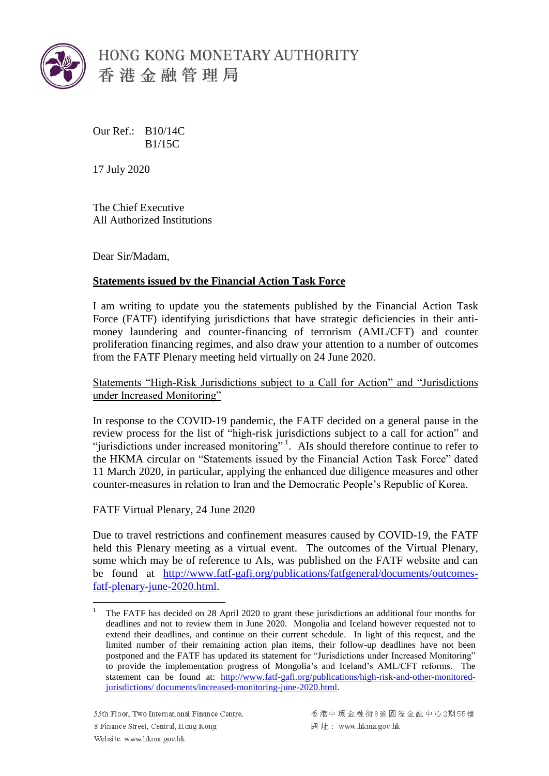

Our Ref.: B10/14C B1/15C

17 July 2020

The Chief Executive All Authorized Institutions

Dear Sir/Madam,

## **Statements issued by the Financial Action Task Force**

I am writing to update you the statements published by the Financial Action Task Force (FATF) identifying jurisdictions that have strategic deficiencies in their antimoney laundering and counter-financing of terrorism (AML/CFT) and counter proliferation financing regimes, and also draw your attention to a number of outcomes from the FATF Plenary meeting held virtually on 24 June 2020.

Statements "High-Risk Jurisdictions subject to a Call for Action" and "Jurisdictions under Increased Monitoring"

In response to the COVID-19 pandemic, the FATF decided on a general pause in the review process for the list of "high-risk jurisdictions subject to a call for action" and "jurisdictions under increased monitoring"<sup>1</sup>. AIs should therefore continue to refer to the HKMA circular on "Statements issued by the Financial Action Task Force" dated 11 March 2020, in particular, applying the enhanced due diligence measures and other counter-measures in relation to Iran and the Democratic People's Republic of Korea.

FATF Virtual Plenary, 24 June 2020

 $\overline{a}$ 

Due to travel restrictions and confinement measures caused by COVID-19, the FATF held this Plenary meeting as a virtual event. The outcomes of the Virtual Plenary, some which may be of reference to AIs, was published on the FATF website and can be found at [http://www.fatf-gafi.org/publications/fatfgeneral/documents/outcomes](http://www.fatf-gafi.org/publications/fatfgeneral/documents/outcomes-fatf-plenary-june-2020.html)[fatf-plenary-june-2020.html.](http://www.fatf-gafi.org/publications/fatfgeneral/documents/outcomes-fatf-plenary-june-2020.html)

<sup>1</sup> The FATF has decided on 28 April 2020 to grant these jurisdictions an additional four months for deadlines and not to review them in June 2020. Mongolia and Iceland however requested not to extend their deadlines, and continue on their current schedule. In light of this request, and the limited number of their remaining action plan items, their follow-up deadlines have not been postponed and the FATF has updated its statement for "Jurisdictions under Increased Monitoring" to provide the implementation progress of Mongolia's and Iceland's AML/CFT reforms. The statement can be found at: [http://www.fatf-gafi.org/publications/high-risk-and-other-monitored](http://www.fatf-gafi.org/publications/high-risk-and-other-monitored-jurisdictions/documents/increased-monitoring-june-2020.html)[jurisdictions/ documents/increased-monitoring-june-2020.html.](http://www.fatf-gafi.org/publications/high-risk-and-other-monitored-jurisdictions/documents/increased-monitoring-june-2020.html)